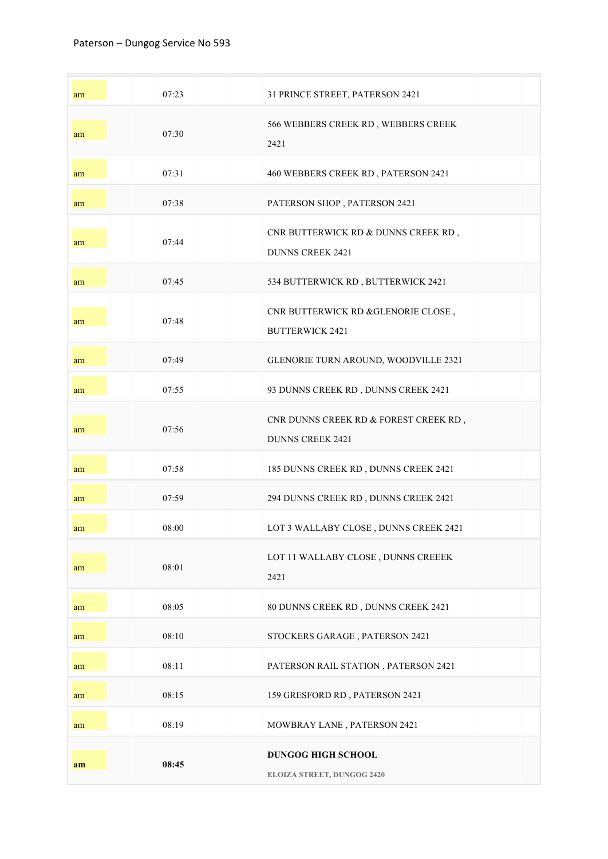| am | 07:23 | 31 PRINCE STREET, PATERSON 2421                                      |
|----|-------|----------------------------------------------------------------------|
| am | 07:30 | 566 WEBBERS CREEK RD, WEBBERS CREEK<br>2421                          |
| am | 07:31 | 460 WEBBERS CREEK RD, PATERSON 2421                                  |
| am | 07:38 | PATERSON SHOP, PATERSON 2421                                         |
| am | 07:44 | CNR BUTTERWICK RD & DUNNS CREEK RD,<br><b>DUNNS CREEK 2421</b>       |
| am | 07:45 | 534 BUTTERWICK RD, BUTTERWICK 2421                                   |
| am | 07:48 | CNR BUTTERWICK RD &GLENORIE CLOSE,<br><b>BUTTERWICK 2421</b>         |
| am | 07:49 | GLENORIE TURN AROUND, WOODVILLE 2321                                 |
| am | 07:55 | 93 DUNNS CREEK RD, DUNNS CREEK 2421                                  |
| am | 07:56 | CNR DUNNS CREEK RD $\&$ FOREST CREEK RD ,<br><b>DUNNS CREEK 2421</b> |
| am | 07:58 | 185 DUNNS CREEK RD, DUNNS CREEK 2421                                 |
| am | 07:59 | 294 DUNNS CREEK RD, DUNNS CREEK 2421                                 |
| am | 08:00 | LOT 3 WALLABY CLOSE , DUNNS CREEK 2421                               |
| am | 08:01 | LOT 11 WALLABY CLOSE , DUNNS CREEEK<br>2421                          |
| am | 08:05 | 80 DUNNS CREEK RD, DUNNS CREEK 2421                                  |
| am | 08:10 | STOCKERS GARAGE, PATERSON 2421                                       |
| am | 08:11 | PATERSON RAIL STATION, PATERSON 2421                                 |
| am | 08:15 | 159 GRESFORD RD, PATERSON 2421                                       |
| am | 08:19 | MOWBRAY LANE, PATERSON 2421                                          |
| am | 08:45 | DUNGOG HIGH SCHOOL<br>ELOIZA STREET, DUNGOG 2420                     |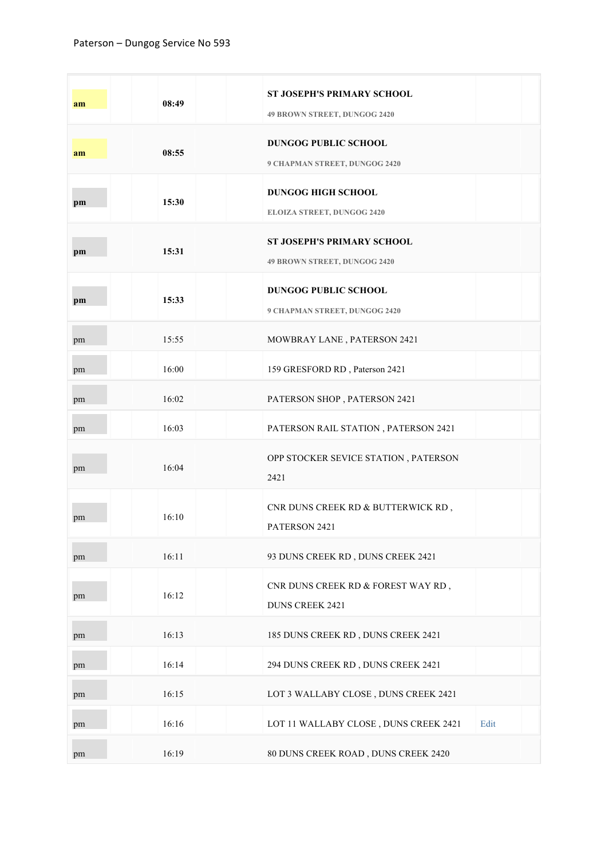| am | 08:49 | ST JOSEPH'S PRIMARY SCHOOL<br>49 BROWN STREET, DUNGOG 2420        |      |
|----|-------|-------------------------------------------------------------------|------|
| am | 08:55 | <b>DUNGOG PUBLIC SCHOOL</b><br>9 CHAPMAN STREET, DUNGOG 2420      |      |
| pm | 15:30 | <b>DUNGOG HIGH SCHOOL</b><br><b>ELOIZA STREET, DUNGOG 2420</b>    |      |
| pm | 15:31 | <b>ST JOSEPH'S PRIMARY SCHOOL</b><br>49 BROWN STREET, DUNGOG 2420 |      |
| pm | 15:33 | <b>DUNGOG PUBLIC SCHOOL</b><br>9 CHAPMAN STREET, DUNGOG 2420      |      |
| pm | 15:55 | MOWBRAY LANE, PATERSON 2421                                       |      |
| pm | 16:00 | 159 GRESFORD RD, Paterson 2421                                    |      |
| pm | 16:02 | PATERSON SHOP, PATERSON 2421                                      |      |
| pm | 16:03 | PATERSON RAIL STATION, PATERSON 2421                              |      |
| pm | 16:04 | OPP STOCKER SEVICE STATION, PATERSON<br>2421                      |      |
| pm | 16:10 | CNR DUNS CREEK RD & BUTTERWICK RD,<br>PATERSON 2421               |      |
| pm | 16:11 | 93 DUNS CREEK RD, DUNS CREEK 2421                                 |      |
| pm | 16:12 | CNR DUNS CREEK RD & FOREST WAY RD,<br><b>DUNS CREEK 2421</b>      |      |
| pm | 16:13 | 185 DUNS CREEK RD, DUNS CREEK 2421                                |      |
| pm | 16:14 | 294 DUNS CREEK RD, DUNS CREEK 2421                                |      |
| pm | 16:15 | LOT 3 WALLABY CLOSE, DUNS CREEK 2421                              |      |
| pm | 16:16 | LOT 11 WALLABY CLOSE, DUNS CREEK 2421                             | Edit |
| pm | 16:19 | 80 DUNS CREEK ROAD, DUNS CREEK 2420                               |      |